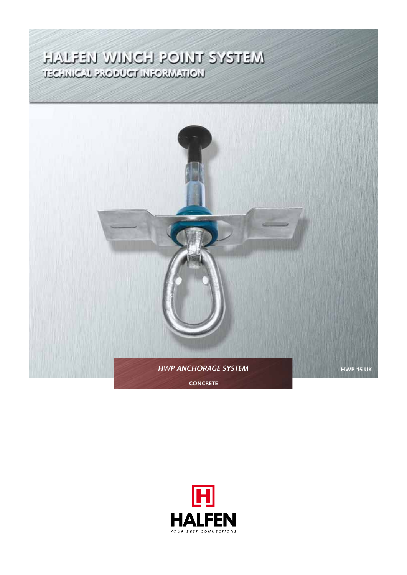# TECHNICAL AUDIORIANISM<br>HALFEN WINCH POINT SYSTEM



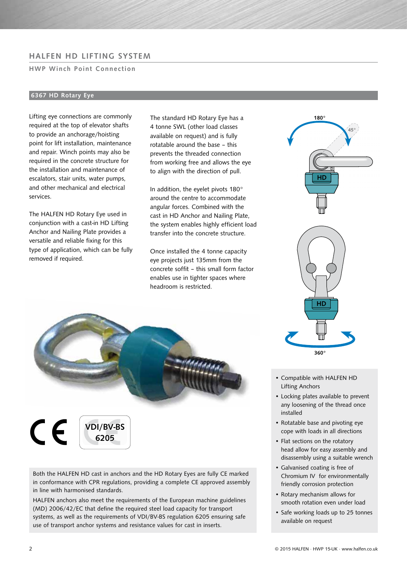# HALFEN HD LIFTING SYSTEM

## HWP Winch Point Connection

# 6367 HD Rotary Eye

Lifting eye connections are commonly required at the top of elevator shafts to provide an anchorage/hoisting point for lift installation, maintenance and repair. Winch points may also be required in the concrete structure for the installation and maintenance of escalators, stair units, water pumps, and other mechanical and electrical services.

The HALFEN HD Rotary Eye used in conjunction with a cast-in HD Lifting Anchor and Nailing Plate provides a versatile and reliable fixing for this type of application, which can be fully removed if required.

The standard HD Rotary Eye has a 4 tonne SWL (other load classes available on request) and is fully rotatable around the base – this prevents the threaded connection from working free and allows the eye to align with the direction of pull.

In addition, the eyelet pivots 180° around the centre to accommodate angular forces. Combined with the cast in HD Anchor and Nailing Plate, the system enables highly efficient load transfer into the concrete structure.

Once installed the 4 tonne capacity eye projects just 135mm from the concrete soffit - this small form factor enables use in tighter spaces where headroom is restricted.



 $\epsilon$ VDI/BV-BS 6205

Both the HALFEN HD cast in anchors and the HD Rotary Eyes are fully CE marked in conformance with CPR regulations, providing a complete CE approved assembly in line with harmonised standards.

HALFEN anchors also meet the requirements of the European machine guidelines (MD) 2006/42/EC that define the required steel load capacity for transport systems, as well as the requirements of VDI/BV-BS regulation 6205 ensuring safe use of transport anchor systems and resistance values for cast in inserts.



360°

HD

180°

HD ö 45°

- Locking plates available to prevent any loosening of the thread once installed
- Rotatable base and pivoting eye cope with loads in all directions
- Flat sections on the rotatory head allow for easy assembly and disassembly using a suitable wrench
- Galvanised coating is free of Chromium IV for environmentally friendly corrosion protection
- Rotary mechanism allows for smooth rotation even under load
- Safe working loads up to 25 tonnes available on request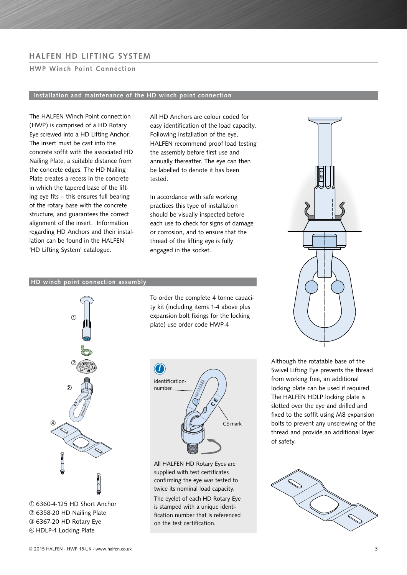# HALFEN HD LIFTING SYSTEM

## HWP Winch Point Connection

## Installation and maintenance of the HD winch point connection

The HALFEN Winch Point connection (HWP) is comprised of a HD Rotary Eye screwed into a HD Lifting Anchor. The insert must be cast into the concrete soffit with the associated HD Nailing Plate, a suitable distance from the concrete edges. The HD Nailing Plate creates a recess in the concrete in which the tapered base of the lifting eye fits – this ensures full bearing of the rotary base with the concrete structure, and guarantees the correct alignment of the insert. Information regarding HD Anchors and their installation can be found in the HALFEN 'HD Lifting System' catalogue.

All HD Anchors are colour coded for easy identification of the load capacity. Following installation of the eye, HALFEN recommend proof load testing the assembly before first use and annually thereafter. The eye can then be labelled to denote it has been tested.

In accordance with safe working practices this type of installation should be visually inspected before each use to check for signs of damage or corrosion, and to ensure that the thread of the lifting eye is fully engaged in the socket.

#### HD winch point connection assembly



6360-4-125 HD Short Anchor 6358-20 HD Nailing Plate 6367-20 HD Rotary Eye HDLP-4 Locking Plate

To order the complete 4 tonne capacity kit (including items 1-4 above plus expansion bolt fixings for the locking plate) use order code HWP-4



All HALFEN HD Rotary Eyes are supplied with test certificates confirming the eye was tested to twice its nominal load capacity.

The eyelet of each HD Rotary Eye is stamped with a unique identification number that is referenced on the test certification.

Although the rotatable base of the Swivel Lifting Eye prevents the thread from working free, an additional locking plate can be used if required. The HALFEN HDLP locking plate is slotted over the eye and drilled and fixed to the soffit using M8 expansion bolts to prevent any unscrewing of the thread and provide an additional layer of safety.

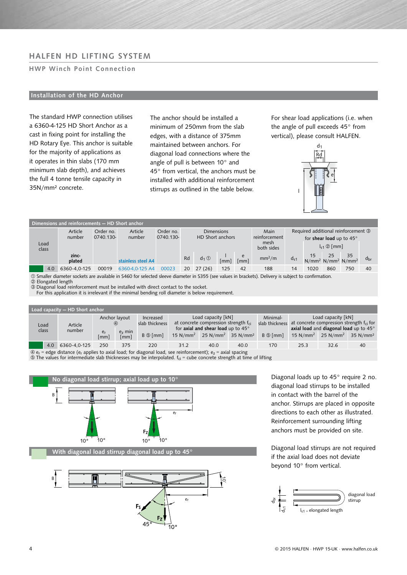# HALFEN HD LIFTING SYSTEM

### HWP Winch Point Connection

## Installation of the HD Anchor

The standard HWP connection utilises a 6360-4-125 HD Short Anchor as a cast in fixing point for installing the HD Rotary Eye. This anchor is suitable for the majority of applications as it operates in thin slabs (170 mm minimum slab depth), and achieves the full 4 tonne tensile capacity in 35N/mm² concrete.

The anchor should be installed a minimum of 250mm from the slab edges, with a distance of 375mm maintained between anchors. For diagonal load connections where the angle of pull is between 10° and 45° from vertical, the anchors must be installed with additional reinforcement stirrups as outlined in the table below.

For shear load applications (i.e. when the angle of pull exceeds 45° from vertical), please consult HALFEN.



| Dimensions and reinforcements – HD Short anchor                                                                                              |                   |                        |                    |                        |                                       |              |      |                               |                                                                 |                              |      |     |                                                                   |              |
|----------------------------------------------------------------------------------------------------------------------------------------------|-------------------|------------------------|--------------------|------------------------|---------------------------------------|--------------|------|-------------------------------|-----------------------------------------------------------------|------------------------------|------|-----|-------------------------------------------------------------------|--------------|
| Load                                                                                                                                         | Article<br>number | Order no.<br>0740.130- | Article<br>number  | Order no.<br>0740.130- | <b>Dimensions</b><br>HD Short anchors |              |      | Main<br>reinforcement<br>mesh | Required additional reinforcement 3<br>for shear load up to 45° |                              |      |     |                                                                   |              |
| class                                                                                                                                        |                   |                        |                    |                        |                                       |              |      | both sides                    |                                                                 | $I_{s1} \otimes \text{[mm]}$ |      |     |                                                                   |              |
|                                                                                                                                              | zinc-<br>plated   |                        | stainless steel A4 |                        | Rd                                    | $d_1 \oplus$ | [mm] | e<br>[mm]                     | mm <sup>2</sup> /m                                              | $d_{s1}$                     |      |     | 15 25 35<br>N/mm <sup>2</sup> N/mm <sup>2</sup> N/mm <sup>2</sup> | $d_{\rm br}$ |
| 4.0                                                                                                                                          | 6360-4.0-125      | 00019                  | 6360-4.0-125 A4    | 00023                  | <b>20</b>                             | 27(26)       | 125  | 42                            | 188                                                             | 14                           | 1020 | 860 | 750                                                               | 40           |
| @ Carollar discrete containing and the CACO for advanced discrete in the COEF (according to backled). Delivery is calculated as confirmation |                   |                        |                    |                        |                                       |              |      |                               |                                                                 |                              |      |     |                                                                   |              |

selected sleeve diameter in S355 (see values in brackets). Delivery is subject to

Elongated length

Diagonal load reinforcement must be installed with direct contact to the socket.

For this application it is irrelevant if the minimal bending roll diameter is below requirement.

| Load capacity - HD Short anchor                                                                                                                         |                   |            |                                                    |                                                      |                                                                                                                                                                                      |      |      |                                   |                                                                                                                                                                                                                |      |    |  |
|---------------------------------------------------------------------------------------------------------------------------------------------------------|-------------------|------------|----------------------------------------------------|------------------------------------------------------|--------------------------------------------------------------------------------------------------------------------------------------------------------------------------------------|------|------|-----------------------------------|----------------------------------------------------------------------------------------------------------------------------------------------------------------------------------------------------------------|------|----|--|
| Load<br>class                                                                                                                                           | Article<br>number | er<br>[mm] | Anchor layout<br>$\circled{4}$<br>$ez$ min<br>[mm] | Increased<br>slab thickness<br>$B \circledcirc$ [mm] | Load capacity [kN]<br>at concrete compression strength $f_{ci}$<br>for axial and shear load up to $45^{\circ}$<br>$25 \text{ N/mm}^2$ 35 N/mm <sup>2</sup><br>$15$ N/mm <sup>2</sup> |      |      | Minimal-<br>$B \circledcirc$ [mm] | Load capacity [kN]<br>slab thickness at concrete compression strength f <sub>ci</sub> for<br>axial load and diagonal load up to 45°<br>$25$ N/mm <sup>2</sup><br>$15 \text{ N/mm}^2$<br>$35$ N/mm <sup>2</sup> |      |    |  |
|                                                                                                                                                         |                   |            |                                                    |                                                      |                                                                                                                                                                                      |      |      |                                   |                                                                                                                                                                                                                |      |    |  |
| 4.0                                                                                                                                                     | 6360-4.0-125      | 250        | 375                                                | 220                                                  | 31.2                                                                                                                                                                                 | 40.0 | 40.0 | 170                               | 25.3                                                                                                                                                                                                           | 32.6 | 40 |  |
| $\circledA$ e <sub>r</sub> = edge distance (e <sub>r</sub> applies to axial load; for diagonal load, see reinforcement); e <sub>z</sub> = axial spacing |                   |            |                                                    |                                                      |                                                                                                                                                                                      |      |      |                                   |                                                                                                                                                                                                                |      |    |  |

 $\circledast$  The values for intermediate slab thicknesses may be interpolated.  $f_{\rm ci}$  = cube concrete strength at time of lifting





Diagonal loads up to 45° require 2 no. diagonal load stirrups to be installed in contact with the barrel of the anchor. Stirrups are placed in opposite directions to each other as illustrated. Reinforcement surrounding lifting anchors must be provided on site.

Diagonal load stirrups are not required if the axial load does not deviate beyond 10° from vertical.